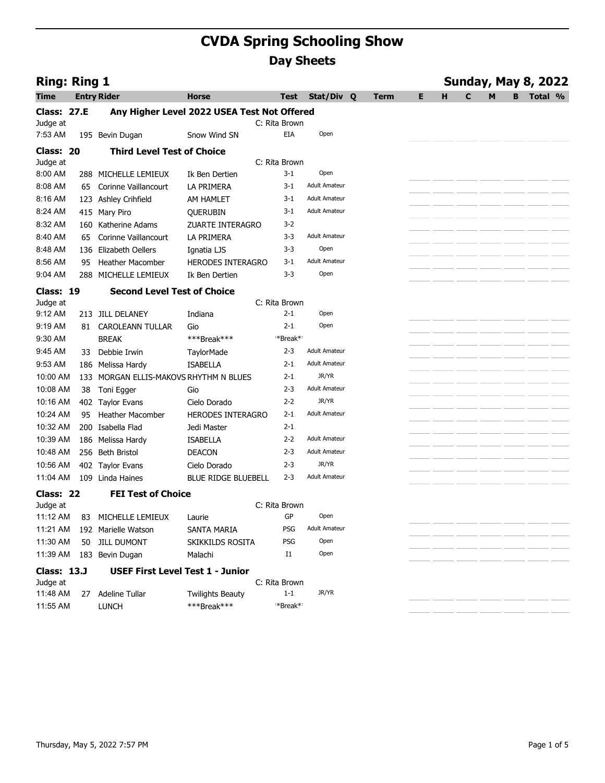| <b>Ring: Ring 1</b><br><b>Entry Rider</b><br><b>Class: 27.E</b><br>Class: 20 | 195 Bevin Dugan<br><b>Third Level Test of Choice</b><br>288 MICHELLE LEMIEUX | <b>CVDA Spring Schooling Show</b><br><b>Horse</b><br>Any Higher Level 2022 USEA Test Not Offered<br>Snow Wind SN                                                                                                                                                                                                                                                                                                                                              | Test<br>C: Rita Brown<br>EIA                                                                                                                                                                                                                                       | <b>Day Sheets</b><br>Stat/Div Q                                                                            | <b>Term</b>                                                                                                                                              | Е. | <b>Sunday, May 8, 2022</b> |                  |
|------------------------------------------------------------------------------|------------------------------------------------------------------------------|---------------------------------------------------------------------------------------------------------------------------------------------------------------------------------------------------------------------------------------------------------------------------------------------------------------------------------------------------------------------------------------------------------------------------------------------------------------|--------------------------------------------------------------------------------------------------------------------------------------------------------------------------------------------------------------------------------------------------------------------|------------------------------------------------------------------------------------------------------------|----------------------------------------------------------------------------------------------------------------------------------------------------------|----|----------------------------|------------------|
|                                                                              |                                                                              |                                                                                                                                                                                                                                                                                                                                                                                                                                                               |                                                                                                                                                                                                                                                                    |                                                                                                            |                                                                                                                                                          |    |                            |                  |
|                                                                              |                                                                              |                                                                                                                                                                                                                                                                                                                                                                                                                                                               |                                                                                                                                                                                                                                                                    |                                                                                                            |                                                                                                                                                          |    |                            |                  |
|                                                                              |                                                                              |                                                                                                                                                                                                                                                                                                                                                                                                                                                               |                                                                                                                                                                                                                                                                    |                                                                                                            |                                                                                                                                                          |    |                            |                  |
|                                                                              |                                                                              |                                                                                                                                                                                                                                                                                                                                                                                                                                                               |                                                                                                                                                                                                                                                                    |                                                                                                            |                                                                                                                                                          |    | н.<br>C<br>M               | <b>B</b> Total % |
|                                                                              |                                                                              |                                                                                                                                                                                                                                                                                                                                                                                                                                                               |                                                                                                                                                                                                                                                                    |                                                                                                            |                                                                                                                                                          |    |                            |                  |
|                                                                              |                                                                              |                                                                                                                                                                                                                                                                                                                                                                                                                                                               |                                                                                                                                                                                                                                                                    | Open                                                                                                       |                                                                                                                                                          |    |                            |                  |
|                                                                              |                                                                              |                                                                                                                                                                                                                                                                                                                                                                                                                                                               |                                                                                                                                                                                                                                                                    |                                                                                                            |                                                                                                                                                          |    |                            |                  |
|                                                                              |                                                                              |                                                                                                                                                                                                                                                                                                                                                                                                                                                               | C: Rita Brown                                                                                                                                                                                                                                                      | Open                                                                                                       |                                                                                                                                                          |    |                            |                  |
|                                                                              | 65 Corinne Vaillancourt                                                      | Ik Ben Dertien<br>LA PRIMERA                                                                                                                                                                                                                                                                                                                                                                                                                                  | 3-1<br>$3-1$                                                                                                                                                                                                                                                       | <b>Adult Amateur</b>                                                                                       |                                                                                                                                                          |    |                            |                  |
|                                                                              | 123 Ashley Crihfield                                                         | AM HAMLET                                                                                                                                                                                                                                                                                                                                                                                                                                                     | 3-1                                                                                                                                                                                                                                                                | <b>Adult Amateur</b>                                                                                       |                                                                                                                                                          |    |                            |                  |
|                                                                              | 415 Mary Piro                                                                | QUERUBIN                                                                                                                                                                                                                                                                                                                                                                                                                                                      | $3-1$                                                                                                                                                                                                                                                              | <b>Adult Amateur</b>                                                                                       |                                                                                                                                                          |    |                            |                  |
|                                                                              | 160 Katherine Adams                                                          | ZUARTE INTERAGRO                                                                                                                                                                                                                                                                                                                                                                                                                                              | $3 - 2$                                                                                                                                                                                                                                                            |                                                                                                            |                                                                                                                                                          |    |                            |                  |
|                                                                              | 65 Corinne Vaillancourt                                                      | LA PRIMERA                                                                                                                                                                                                                                                                                                                                                                                                                                                    | 3-3                                                                                                                                                                                                                                                                | <b>Adult Amateur</b>                                                                                       |                                                                                                                                                          |    |                            |                  |
|                                                                              | 136 Elizabeth Oellers                                                        | Ignatia LJS                                                                                                                                                                                                                                                                                                                                                                                                                                                   | 3-3                                                                                                                                                                                                                                                                | Open                                                                                                       |                                                                                                                                                          |    |                            |                  |
|                                                                              | 95 Heather Macomber                                                          | HERODES INTERAGRO                                                                                                                                                                                                                                                                                                                                                                                                                                             | 3-1                                                                                                                                                                                                                                                                | <b>Adult Amateur</b>                                                                                       |                                                                                                                                                          |    |                            |                  |
|                                                                              |                                                                              |                                                                                                                                                                                                                                                                                                                                                                                                                                                               |                                                                                                                                                                                                                                                                    |                                                                                                            |                                                                                                                                                          |    |                            |                  |
|                                                                              |                                                                              |                                                                                                                                                                                                                                                                                                                                                                                                                                                               |                                                                                                                                                                                                                                                                    |                                                                                                            |                                                                                                                                                          |    |                            |                  |
|                                                                              |                                                                              |                                                                                                                                                                                                                                                                                                                                                                                                                                                               | $2 - 1$                                                                                                                                                                                                                                                            | Open                                                                                                       |                                                                                                                                                          |    |                            |                  |
|                                                                              |                                                                              | Gio                                                                                                                                                                                                                                                                                                                                                                                                                                                           | $2 - 1$                                                                                                                                                                                                                                                            | Open                                                                                                       |                                                                                                                                                          |    |                            |                  |
|                                                                              |                                                                              | ***Break***                                                                                                                                                                                                                                                                                                                                                                                                                                                   |                                                                                                                                                                                                                                                                    |                                                                                                            |                                                                                                                                                          |    |                            |                  |
|                                                                              |                                                                              | <b>TaylorMade</b>                                                                                                                                                                                                                                                                                                                                                                                                                                             | $2 - 3$                                                                                                                                                                                                                                                            | <b>Adult Amateur</b>                                                                                       |                                                                                                                                                          |    |                            |                  |
|                                                                              |                                                                              | <b>ISABELLA</b>                                                                                                                                                                                                                                                                                                                                                                                                                                               | $2 - 1$                                                                                                                                                                                                                                                            | <b>Adult Amateur</b>                                                                                       |                                                                                                                                                          |    |                            |                  |
|                                                                              |                                                                              |                                                                                                                                                                                                                                                                                                                                                                                                                                                               |                                                                                                                                                                                                                                                                    |                                                                                                            |                                                                                                                                                          |    |                            |                  |
|                                                                              |                                                                              |                                                                                                                                                                                                                                                                                                                                                                                                                                                               |                                                                                                                                                                                                                                                                    | JR/YR                                                                                                      |                                                                                                                                                          |    |                            |                  |
|                                                                              |                                                                              |                                                                                                                                                                                                                                                                                                                                                                                                                                                               | $2 - 1$                                                                                                                                                                                                                                                            | <b>Adult Amateur</b>                                                                                       |                                                                                                                                                          |    |                            |                  |
|                                                                              |                                                                              | Jedi Master                                                                                                                                                                                                                                                                                                                                                                                                                                                   | $2 - 1$                                                                                                                                                                                                                                                            |                                                                                                            |                                                                                                                                                          |    |                            |                  |
|                                                                              |                                                                              | <b>ISABELLA</b>                                                                                                                                                                                                                                                                                                                                                                                                                                               | $2 - 2$                                                                                                                                                                                                                                                            | <b>Adult Amateur</b>                                                                                       |                                                                                                                                                          |    |                            |                  |
|                                                                              |                                                                              | <b>DEACON</b>                                                                                                                                                                                                                                                                                                                                                                                                                                                 | $2 - 3$                                                                                                                                                                                                                                                            | <b>Adult Amateur</b>                                                                                       |                                                                                                                                                          |    |                            |                  |
|                                                                              |                                                                              |                                                                                                                                                                                                                                                                                                                                                                                                                                                               | $2 - 3$                                                                                                                                                                                                                                                            |                                                                                                            |                                                                                                                                                          |    |                            |                  |
|                                                                              |                                                                              |                                                                                                                                                                                                                                                                                                                                                                                                                                                               |                                                                                                                                                                                                                                                                    |                                                                                                            |                                                                                                                                                          |    |                            |                  |
|                                                                              |                                                                              |                                                                                                                                                                                                                                                                                                                                                                                                                                                               |                                                                                                                                                                                                                                                                    |                                                                                                            |                                                                                                                                                          |    |                            |                  |
|                                                                              |                                                                              | Laurie                                                                                                                                                                                                                                                                                                                                                                                                                                                        | GP                                                                                                                                                                                                                                                                 | Open                                                                                                       |                                                                                                                                                          |    |                            |                  |
|                                                                              |                                                                              | SANTA MARIA                                                                                                                                                                                                                                                                                                                                                                                                                                                   | PSG                                                                                                                                                                                                                                                                | <b>Adult Amateur</b>                                                                                       |                                                                                                                                                          |    |                            |                  |
|                                                                              |                                                                              | SKIKKILDS ROSITA                                                                                                                                                                                                                                                                                                                                                                                                                                              | PSG                                                                                                                                                                                                                                                                | Open                                                                                                       |                                                                                                                                                          |    |                            |                  |
|                                                                              |                                                                              | Malachi                                                                                                                                                                                                                                                                                                                                                                                                                                                       | $_{\rm I1}$                                                                                                                                                                                                                                                        | Open                                                                                                       |                                                                                                                                                          |    |                            |                  |
| <b>Class: 13.J</b>                                                           |                                                                              |                                                                                                                                                                                                                                                                                                                                                                                                                                                               |                                                                                                                                                                                                                                                                    |                                                                                                            |                                                                                                                                                          |    |                            |                  |
|                                                                              |                                                                              |                                                                                                                                                                                                                                                                                                                                                                                                                                                               |                                                                                                                                                                                                                                                                    |                                                                                                            |                                                                                                                                                          |    |                            |                  |
|                                                                              |                                                                              |                                                                                                                                                                                                                                                                                                                                                                                                                                                               |                                                                                                                                                                                                                                                                    |                                                                                                            |                                                                                                                                                          |    |                            |                  |
|                                                                              |                                                                              |                                                                                                                                                                                                                                                                                                                                                                                                                                                               |                                                                                                                                                                                                                                                                    |                                                                                                            |                                                                                                                                                          |    |                            |                  |
|                                                                              | Class: 19<br>Class: 22                                                       | 288 MICHELLE LEMIEUX<br>9:12 AM 213 JILL DELANEY<br>81 CAROLEANN TULLAR<br><b>BREAK</b><br>33 Debbie Irwin<br>186 Melissa Hardy<br>38 Toni Egger<br>402 Taylor Evans<br>95 Heather Macomber<br>200 Isabella Flad<br>186 Melissa Hardy<br>10:48 AM 256 Beth Bristol<br>10:56 AM 402 Taylor Evans<br>11:04 AM 109 Linda Haines<br>83 MICHELLE LEMIEUX<br>192 Marielle Watson<br>50 JILL DUMONT<br>11:39 AM 183 Bevin Dugan<br>27 Adeline Tullar<br><b>LUNCH</b> | Ik Ben Dertien<br><b>Second Level Test of Choice</b><br>Indiana<br>133 MORGAN ELLIS-MAKOVS RHYTHM N BLUES<br>Gio<br>Cielo Dorado<br>Cielo Dorado<br><b>FEI Test of Choice</b><br><b>USEF First Level Test 1 - Junior</b><br><b>Twilights Beauty</b><br>***Break*** | $3 - 3$<br>$2 - 1$<br>$2 - 3$<br>$2 - 2$<br>HERODES INTERAGRO<br>BLUE RIDGE BLUEBELL<br>$2 - 3$<br>$1 - 1$ | Open<br>C: Rita Brown<br>*Break*<br>JR/YR<br><b>Adult Amateur</b><br>JR/YR<br><b>Adult Amateur</b><br>C: Rita Brown<br>C: Rita Brown<br>JR/YR<br>*Break* |    |                            |                  |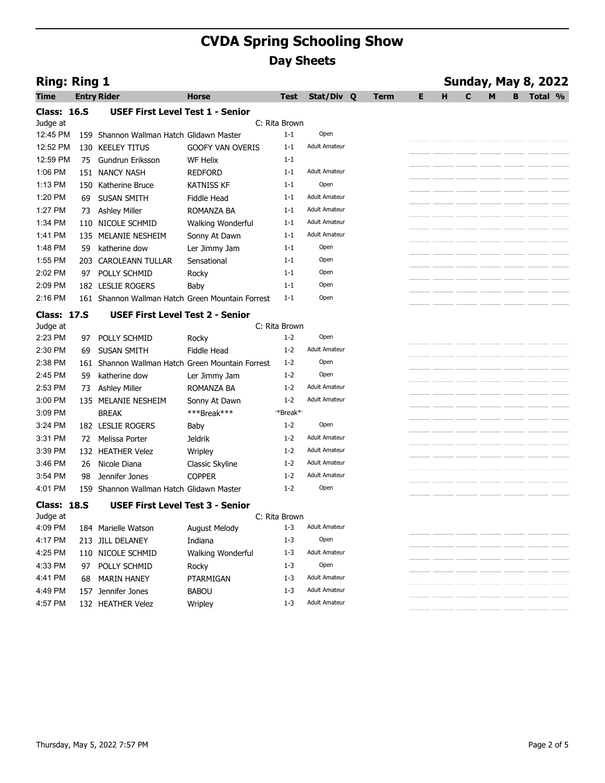|                     |    |                                                                    | <b>CVDA Spring Schooling Show</b> |                          |                              |      |    |                                  |  |
|---------------------|----|--------------------------------------------------------------------|-----------------------------------|--------------------------|------------------------------|------|----|----------------------------------|--|
|                     |    |                                                                    |                                   |                          | <b>Day Sheets</b>            |      |    |                                  |  |
| <b>Ring: Ring 1</b> |    |                                                                    |                                   |                          |                              |      |    | <b>Sunday, May 8, 2022</b>       |  |
| <b>Time</b>         |    | <b>Entry Rider</b>                                                 | <b>Horse</b>                      | Test                     | Stat/Div Q                   | Term | Е. | <b>B</b> Total %<br>н.<br>M<br>C |  |
| <b>Class: 16.S</b>  |    | <b>USEF First Level Test 1 - Senior</b>                            |                                   |                          |                              |      |    |                                  |  |
| Judge at            |    |                                                                    |                                   | C: Rita Brown            |                              |      |    |                                  |  |
| 12:45 PM            |    | 159 Shannon Wallman Hatch Glidawn Master                           |                                   | $1 - 1$                  | Open                         |      |    |                                  |  |
| 12:52 PM            |    | 130 KEELEY TITUS                                                   | <b>GOOFY VAN OVERIS</b>           | $1 - 1$                  | <b>Adult Amateur</b>         |      |    |                                  |  |
| 12:59 PM<br>1:06 PM | 75 | Gundrun Eriksson                                                   | <b>WF Helix</b><br><b>REDFORD</b> | $1 - 1$<br>$1 - 1$       | <b>Adult Amateur</b>         |      |    |                                  |  |
| 1:13 PM             |    | 151 NANCY NASH<br>150 Katherine Bruce                              | <b>KATNISS KF</b>                 | $1 - 1$                  | Open                         |      |    |                                  |  |
| 1:20 PM             |    | 69 SUSAN SMITH                                                     | Fiddle Head                       | $1 - 1$                  | <b>Adult Amateur</b>         |      |    |                                  |  |
| 1:27 PM             |    | 73 Ashley Miller                                                   | ROMANZA BA                        | $1 - 1$                  | <b>Adult Amateur</b>         |      |    |                                  |  |
| 1:34 PM             |    | 110 NICOLE SCHMID                                                  | Walking Wonderful                 | $1 - 1$                  | <b>Adult Amateur</b>         |      |    |                                  |  |
| 1:41 PM             |    | 135 MELANIE NESHEIM                                                | Sonny At Dawn                     | $1 - 1$                  | <b>Adult Amateur</b>         |      |    |                                  |  |
| 1:48 PM             |    | 59 katherine dow                                                   | Ler Jimmy Jam                     | $1 - 1$                  | Open                         |      |    |                                  |  |
| 1:55 PM             |    | 203 CAROLEANN TULLAR                                               | Sensational                       | $1 - 1$                  | Open                         |      |    |                                  |  |
| 2:02 PM             |    | 97 POLLY SCHMID                                                    | Rocky                             | $1 - 1$                  | Open                         |      |    |                                  |  |
| 2:09 PM             |    | 182 LESLIE ROGERS                                                  | Baby                              | $1 - 1$                  | Open                         |      |    |                                  |  |
| 2:16 PM             |    | 161 Shannon Wallman Hatch Green Mountain Forrest                   |                                   | $1 - 1$                  | Open                         |      |    |                                  |  |
| <b>Class: 17.S</b>  |    | <b>USEF First Level Test 2 - Senior</b>                            |                                   |                          |                              |      |    |                                  |  |
| Judge at            |    |                                                                    |                                   | C: Rita Brown            |                              |      |    |                                  |  |
| 2:23 PM             |    | 97 POLLY SCHMID                                                    | Rocky                             | $1 - 2$                  | Open<br><b>Adult Amateur</b> |      |    |                                  |  |
| 2:30 PM<br>2:38 PM  |    | 69 SUSAN SMITH<br>161 Shannon Wallman Hatch Green Mountain Forrest | Fiddle Head                       | $1 - 2$<br>$1 - 2$       | Open                         |      |    |                                  |  |
| 2:45 PM             |    | 59 katherine dow                                                   | Ler Jimmy Jam                     | $1 - 2$                  | Open                         |      |    |                                  |  |
| 2:53 PM             |    | 73 Ashley Miller                                                   | ROMANZA BA                        | $1 - 2$                  | <b>Adult Amateur</b>         |      |    |                                  |  |
| 3:00 PM             |    | 135 MELANIE NESHEIM                                                | Sonny At Dawn                     | $1 - 2$                  | <b>Adult Amateur</b>         |      |    |                                  |  |
| 3:09 PM             |    | <b>BREAK</b>                                                       | ***Break***                       | *Break*                  |                              |      |    |                                  |  |
| 3:24 PM             |    | 182 LESLIE ROGERS                                                  | Baby                              | $1 - 2$                  | Open                         |      |    |                                  |  |
| 3:31 PM             |    | 72 Melissa Porter                                                  | Jeldrik                           | $1 - 2$                  | <b>Adult Amateur</b>         |      |    |                                  |  |
| 3:39 PM             |    | 132 HEATHER Velez                                                  | Wripley                           | $1 - 2$                  | <b>Adult Amateur</b>         |      |    |                                  |  |
| 3:46 PM             |    | 26 Nicole Diana                                                    | Classic Skyline                   | $1 - 2$                  | <b>Adult Amateur</b>         |      |    |                                  |  |
| 3:54 PM             |    | 98 Jennifer Jones                                                  | <b>COPPER</b>                     | $1 - 2$                  | <b>Adult Amateur</b>         |      |    |                                  |  |
| 4:01 PM             |    | 159 Shannon Wallman Hatch Glidawn Master                           |                                   | $1 - 2$                  | Open                         |      |    |                                  |  |
| <b>Class: 18.S</b>  |    | <b>USEF First Level Test 3 - Senior</b>                            |                                   |                          |                              |      |    |                                  |  |
| Judge at<br>4:09 PM |    |                                                                    | August Melody                     | C: Rita Brown<br>$1 - 3$ | <b>Adult Amateur</b>         |      |    |                                  |  |
| 4:17 PM             |    | 184 Marielle Watson<br>213 JILL DELANEY                            | Indiana                           | $1 - 3$                  | Open                         |      |    |                                  |  |
| 4:25 PM             |    | 110 NICOLE SCHMID                                                  | Walking Wonderful                 | $1 - 3$                  | <b>Adult Amateur</b>         |      |    |                                  |  |
| 4:33 PM             |    | 97 POLLY SCHMID                                                    | Rocky                             | $1 - 3$                  | Open                         |      |    |                                  |  |
| 4:41 PM             |    | 68 MARIN HANEY                                                     | PTARMIGAN                         | 1-3                      | <b>Adult Amateur</b>         |      |    |                                  |  |
| 4:49 PM             |    | 157 Jennifer Jones                                                 | <b>BABOU</b>                      | $1 - 3$                  | <b>Adult Amateur</b>         |      |    |                                  |  |
| 4:57 PM             |    | 132 HEATHER Velez                                                  | Wripley                           | 1-3                      | <b>Adult Amateur</b>         |      |    |                                  |  |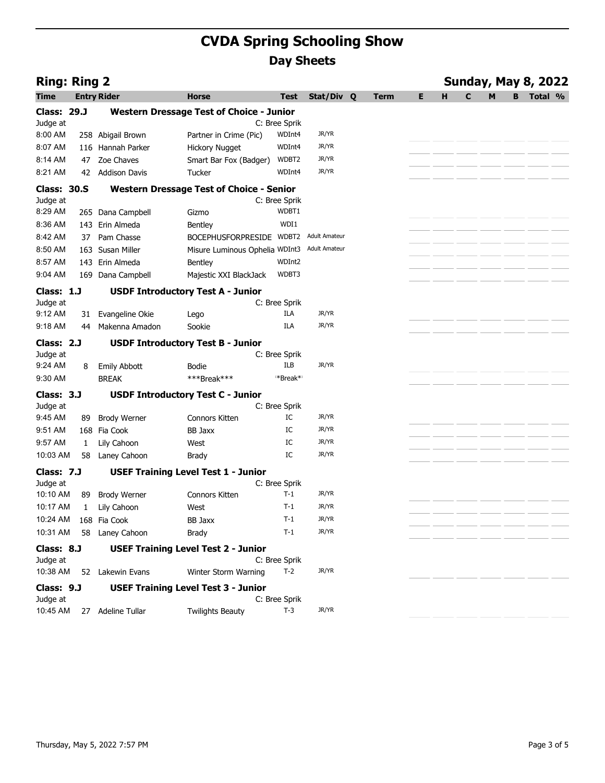| <b>CVDA Spring Schooling Show</b><br><b>Day Sheets</b><br><b>Ring: Ring 2</b><br><b>Entry Rider</b><br><b>Horse</b><br>Stat/Div Q<br>н<br><b>Test</b><br><b>Term</b><br>Е.<br>B<br>Time<br><b>Class: 29.J</b><br><b>Western Dressage Test of Choice - Junior</b><br>C: Bree Sprik<br>Judge at<br>JR/YR<br>8:00 AM<br>258 Abigail Brown<br>Partner in Crime (Pic)<br>WDInt4<br>JR/YR<br>116 Hannah Parker<br>WDInt4<br>8:07 AM<br><b>Hickory Nugget</b><br>Jr/yr<br>47 Zoe Chaves<br>Smart Bar Fox (Badger)<br>WDBT2<br>8:14 AM<br>JR/YR<br>WDInt4<br>8:21 AM<br>42 Addison Davis<br>Tucker<br><b>Class: 30.S</b><br><b>Western Dressage Test of Choice - Senior</b><br>C: Bree Sprik<br>Judge at<br>WDBT1<br>8:29 AM<br>265 Dana Campbell<br>Gizmo<br>WDI1<br>8:36 AM<br>143 Erin Almeda<br>Bentley<br>BOCEPHUSFORPRESIDE WDBT2 Adult Amateur<br>8:42 AM<br>37 Pam Chasse<br>8:50 AM<br>Misure Luminous Ophelia WDInt3<br>Adult Amateur<br>163 Susan Miller<br>WDInt2<br>8:57 AM<br>143 Erin Almeda<br>Bentley<br>WDBT3<br>9:04 AM<br>169 Dana Campbell<br>Majestic XXI BlackJack<br>Class: 1.J<br><b>USDF Introductory Test A - Junior</b><br>C: Bree Sprik<br>Judge at<br>JR/YR<br>9:12 AM<br>31 Evangeline Okie<br>ILA<br>Lego<br>JR/YR<br>9:18 AM<br>ILA<br>44 Makenna Amadon<br>Sookie<br><b>Class: 2.J</b><br><b>USDF Introductory Test B - Junior</b><br>Judge at<br>C: Bree Sprik<br>JR/YR<br>9:24 AM<br>ILB<br>8 Emily Abbott<br>Bodie<br>***Break***<br>*Break*<br>9:30 AM<br><b>BREAK</b><br>Class: 3.J<br><b>USDF Introductory Test C - Junior</b><br>Judge at<br>C: Bree Sprik<br>JR/YR<br>9:45 AM<br>89 Brody Werner<br>IC<br>Connors Kitten<br>168 Fia Cook<br>IC<br>JR/YR<br>9:51 AM<br><b>BB Jaxx</b><br>1 Lily Cahoon<br>IC<br>JR/YR<br>9:57 AM<br>West<br>IC<br>JR/YR<br>10:03 AM<br>58 Laney Cahoon<br>Brady<br>Class: 7.J<br><b>USEF Training Level Test 1 - Junior</b><br>C: Bree Sprik<br>Judge at<br>10:10 AM<br>89<br>JR/YR<br><b>Brody Werner</b><br>Connors Kitten<br>$T-1$<br>10:17 AM<br>$T-1$<br>JR/YR<br>$\mathbf{1}$<br>Lily Cahoon<br>West<br>168 Fia Cook<br>JR/YR<br>10:24 AM<br>BB Jaxx<br>$T-1$<br>JR/YR<br>10:31 AM<br>58 Laney Cahoon<br>$T-1$<br>Brady<br>Class: 8.J<br><b>USEF Training Level Test 2 - Junior</b><br>C: Bree Sprik<br>Judge at<br>JR/YR<br>10:38 AM 52 Lakewin Evans<br>$T-2$<br>Winter Storm Warning<br>Class: 9.J<br><b>USEF Training Level Test 3 - Junior</b><br>Judge at<br>C: Bree Sprik<br>JR/YR<br>10:45 AM<br>27 Adeline Tullar<br>$T-3$<br><b>Twilights Beauty</b><br>Thursday, May 5, 2022 7:57 PM |  |  |  |  |  |
|------------------------------------------------------------------------------------------------------------------------------------------------------------------------------------------------------------------------------------------------------------------------------------------------------------------------------------------------------------------------------------------------------------------------------------------------------------------------------------------------------------------------------------------------------------------------------------------------------------------------------------------------------------------------------------------------------------------------------------------------------------------------------------------------------------------------------------------------------------------------------------------------------------------------------------------------------------------------------------------------------------------------------------------------------------------------------------------------------------------------------------------------------------------------------------------------------------------------------------------------------------------------------------------------------------------------------------------------------------------------------------------------------------------------------------------------------------------------------------------------------------------------------------------------------------------------------------------------------------------------------------------------------------------------------------------------------------------------------------------------------------------------------------------------------------------------------------------------------------------------------------------------------------------------------------------------------------------------------------------------------------------------------------------------------------------------------------------------------------------------------------------------------------------------------------------------------------------------------------------------------------------------------------------------------------------------------------------------------------------------------------------------------------------------------------------------------------------------------------------------------------------------------------------------------------------------|--|--|--|--|--|
| <b>Sunday, May 8, 2022</b><br>Total %                                                                                                                                                                                                                                                                                                                                                                                                                                                                                                                                                                                                                                                                                                                                                                                                                                                                                                                                                                                                                                                                                                                                                                                                                                                                                                                                                                                                                                                                                                                                                                                                                                                                                                                                                                                                                                                                                                                                                                                                                                                                                                                                                                                                                                                                                                                                                                                                                                                                                                                                  |  |  |  |  |  |
|                                                                                                                                                                                                                                                                                                                                                                                                                                                                                                                                                                                                                                                                                                                                                                                                                                                                                                                                                                                                                                                                                                                                                                                                                                                                                                                                                                                                                                                                                                                                                                                                                                                                                                                                                                                                                                                                                                                                                                                                                                                                                                                                                                                                                                                                                                                                                                                                                                                                                                                                                                        |  |  |  |  |  |
|                                                                                                                                                                                                                                                                                                                                                                                                                                                                                                                                                                                                                                                                                                                                                                                                                                                                                                                                                                                                                                                                                                                                                                                                                                                                                                                                                                                                                                                                                                                                                                                                                                                                                                                                                                                                                                                                                                                                                                                                                                                                                                                                                                                                                                                                                                                                                                                                                                                                                                                                                                        |  |  |  |  |  |
|                                                                                                                                                                                                                                                                                                                                                                                                                                                                                                                                                                                                                                                                                                                                                                                                                                                                                                                                                                                                                                                                                                                                                                                                                                                                                                                                                                                                                                                                                                                                                                                                                                                                                                                                                                                                                                                                                                                                                                                                                                                                                                                                                                                                                                                                                                                                                                                                                                                                                                                                                                        |  |  |  |  |  |
| Page 3 of 5                                                                                                                                                                                                                                                                                                                                                                                                                                                                                                                                                                                                                                                                                                                                                                                                                                                                                                                                                                                                                                                                                                                                                                                                                                                                                                                                                                                                                                                                                                                                                                                                                                                                                                                                                                                                                                                                                                                                                                                                                                                                                                                                                                                                                                                                                                                                                                                                                                                                                                                                                            |  |  |  |  |  |
|                                                                                                                                                                                                                                                                                                                                                                                                                                                                                                                                                                                                                                                                                                                                                                                                                                                                                                                                                                                                                                                                                                                                                                                                                                                                                                                                                                                                                                                                                                                                                                                                                                                                                                                                                                                                                                                                                                                                                                                                                                                                                                                                                                                                                                                                                                                                                                                                                                                                                                                                                                        |  |  |  |  |  |
|                                                                                                                                                                                                                                                                                                                                                                                                                                                                                                                                                                                                                                                                                                                                                                                                                                                                                                                                                                                                                                                                                                                                                                                                                                                                                                                                                                                                                                                                                                                                                                                                                                                                                                                                                                                                                                                                                                                                                                                                                                                                                                                                                                                                                                                                                                                                                                                                                                                                                                                                                                        |  |  |  |  |  |
|                                                                                                                                                                                                                                                                                                                                                                                                                                                                                                                                                                                                                                                                                                                                                                                                                                                                                                                                                                                                                                                                                                                                                                                                                                                                                                                                                                                                                                                                                                                                                                                                                                                                                                                                                                                                                                                                                                                                                                                                                                                                                                                                                                                                                                                                                                                                                                                                                                                                                                                                                                        |  |  |  |  |  |
|                                                                                                                                                                                                                                                                                                                                                                                                                                                                                                                                                                                                                                                                                                                                                                                                                                                                                                                                                                                                                                                                                                                                                                                                                                                                                                                                                                                                                                                                                                                                                                                                                                                                                                                                                                                                                                                                                                                                                                                                                                                                                                                                                                                                                                                                                                                                                                                                                                                                                                                                                                        |  |  |  |  |  |
|                                                                                                                                                                                                                                                                                                                                                                                                                                                                                                                                                                                                                                                                                                                                                                                                                                                                                                                                                                                                                                                                                                                                                                                                                                                                                                                                                                                                                                                                                                                                                                                                                                                                                                                                                                                                                                                                                                                                                                                                                                                                                                                                                                                                                                                                                                                                                                                                                                                                                                                                                                        |  |  |  |  |  |
|                                                                                                                                                                                                                                                                                                                                                                                                                                                                                                                                                                                                                                                                                                                                                                                                                                                                                                                                                                                                                                                                                                                                                                                                                                                                                                                                                                                                                                                                                                                                                                                                                                                                                                                                                                                                                                                                                                                                                                                                                                                                                                                                                                                                                                                                                                                                                                                                                                                                                                                                                                        |  |  |  |  |  |
|                                                                                                                                                                                                                                                                                                                                                                                                                                                                                                                                                                                                                                                                                                                                                                                                                                                                                                                                                                                                                                                                                                                                                                                                                                                                                                                                                                                                                                                                                                                                                                                                                                                                                                                                                                                                                                                                                                                                                                                                                                                                                                                                                                                                                                                                                                                                                                                                                                                                                                                                                                        |  |  |  |  |  |
|                                                                                                                                                                                                                                                                                                                                                                                                                                                                                                                                                                                                                                                                                                                                                                                                                                                                                                                                                                                                                                                                                                                                                                                                                                                                                                                                                                                                                                                                                                                                                                                                                                                                                                                                                                                                                                                                                                                                                                                                                                                                                                                                                                                                                                                                                                                                                                                                                                                                                                                                                                        |  |  |  |  |  |
|                                                                                                                                                                                                                                                                                                                                                                                                                                                                                                                                                                                                                                                                                                                                                                                                                                                                                                                                                                                                                                                                                                                                                                                                                                                                                                                                                                                                                                                                                                                                                                                                                                                                                                                                                                                                                                                                                                                                                                                                                                                                                                                                                                                                                                                                                                                                                                                                                                                                                                                                                                        |  |  |  |  |  |
|                                                                                                                                                                                                                                                                                                                                                                                                                                                                                                                                                                                                                                                                                                                                                                                                                                                                                                                                                                                                                                                                                                                                                                                                                                                                                                                                                                                                                                                                                                                                                                                                                                                                                                                                                                                                                                                                                                                                                                                                                                                                                                                                                                                                                                                                                                                                                                                                                                                                                                                                                                        |  |  |  |  |  |
|                                                                                                                                                                                                                                                                                                                                                                                                                                                                                                                                                                                                                                                                                                                                                                                                                                                                                                                                                                                                                                                                                                                                                                                                                                                                                                                                                                                                                                                                                                                                                                                                                                                                                                                                                                                                                                                                                                                                                                                                                                                                                                                                                                                                                                                                                                                                                                                                                                                                                                                                                                        |  |  |  |  |  |
|                                                                                                                                                                                                                                                                                                                                                                                                                                                                                                                                                                                                                                                                                                                                                                                                                                                                                                                                                                                                                                                                                                                                                                                                                                                                                                                                                                                                                                                                                                                                                                                                                                                                                                                                                                                                                                                                                                                                                                                                                                                                                                                                                                                                                                                                                                                                                                                                                                                                                                                                                                        |  |  |  |  |  |
|                                                                                                                                                                                                                                                                                                                                                                                                                                                                                                                                                                                                                                                                                                                                                                                                                                                                                                                                                                                                                                                                                                                                                                                                                                                                                                                                                                                                                                                                                                                                                                                                                                                                                                                                                                                                                                                                                                                                                                                                                                                                                                                                                                                                                                                                                                                                                                                                                                                                                                                                                                        |  |  |  |  |  |
|                                                                                                                                                                                                                                                                                                                                                                                                                                                                                                                                                                                                                                                                                                                                                                                                                                                                                                                                                                                                                                                                                                                                                                                                                                                                                                                                                                                                                                                                                                                                                                                                                                                                                                                                                                                                                                                                                                                                                                                                                                                                                                                                                                                                                                                                                                                                                                                                                                                                                                                                                                        |  |  |  |  |  |
|                                                                                                                                                                                                                                                                                                                                                                                                                                                                                                                                                                                                                                                                                                                                                                                                                                                                                                                                                                                                                                                                                                                                                                                                                                                                                                                                                                                                                                                                                                                                                                                                                                                                                                                                                                                                                                                                                                                                                                                                                                                                                                                                                                                                                                                                                                                                                                                                                                                                                                                                                                        |  |  |  |  |  |
|                                                                                                                                                                                                                                                                                                                                                                                                                                                                                                                                                                                                                                                                                                                                                                                                                                                                                                                                                                                                                                                                                                                                                                                                                                                                                                                                                                                                                                                                                                                                                                                                                                                                                                                                                                                                                                                                                                                                                                                                                                                                                                                                                                                                                                                                                                                                                                                                                                                                                                                                                                        |  |  |  |  |  |
|                                                                                                                                                                                                                                                                                                                                                                                                                                                                                                                                                                                                                                                                                                                                                                                                                                                                                                                                                                                                                                                                                                                                                                                                                                                                                                                                                                                                                                                                                                                                                                                                                                                                                                                                                                                                                                                                                                                                                                                                                                                                                                                                                                                                                                                                                                                                                                                                                                                                                                                                                                        |  |  |  |  |  |
|                                                                                                                                                                                                                                                                                                                                                                                                                                                                                                                                                                                                                                                                                                                                                                                                                                                                                                                                                                                                                                                                                                                                                                                                                                                                                                                                                                                                                                                                                                                                                                                                                                                                                                                                                                                                                                                                                                                                                                                                                                                                                                                                                                                                                                                                                                                                                                                                                                                                                                                                                                        |  |  |  |  |  |
|                                                                                                                                                                                                                                                                                                                                                                                                                                                                                                                                                                                                                                                                                                                                                                                                                                                                                                                                                                                                                                                                                                                                                                                                                                                                                                                                                                                                                                                                                                                                                                                                                                                                                                                                                                                                                                                                                                                                                                                                                                                                                                                                                                                                                                                                                                                                                                                                                                                                                                                                                                        |  |  |  |  |  |
|                                                                                                                                                                                                                                                                                                                                                                                                                                                                                                                                                                                                                                                                                                                                                                                                                                                                                                                                                                                                                                                                                                                                                                                                                                                                                                                                                                                                                                                                                                                                                                                                                                                                                                                                                                                                                                                                                                                                                                                                                                                                                                                                                                                                                                                                                                                                                                                                                                                                                                                                                                        |  |  |  |  |  |
|                                                                                                                                                                                                                                                                                                                                                                                                                                                                                                                                                                                                                                                                                                                                                                                                                                                                                                                                                                                                                                                                                                                                                                                                                                                                                                                                                                                                                                                                                                                                                                                                                                                                                                                                                                                                                                                                                                                                                                                                                                                                                                                                                                                                                                                                                                                                                                                                                                                                                                                                                                        |  |  |  |  |  |
|                                                                                                                                                                                                                                                                                                                                                                                                                                                                                                                                                                                                                                                                                                                                                                                                                                                                                                                                                                                                                                                                                                                                                                                                                                                                                                                                                                                                                                                                                                                                                                                                                                                                                                                                                                                                                                                                                                                                                                                                                                                                                                                                                                                                                                                                                                                                                                                                                                                                                                                                                                        |  |  |  |  |  |
|                                                                                                                                                                                                                                                                                                                                                                                                                                                                                                                                                                                                                                                                                                                                                                                                                                                                                                                                                                                                                                                                                                                                                                                                                                                                                                                                                                                                                                                                                                                                                                                                                                                                                                                                                                                                                                                                                                                                                                                                                                                                                                                                                                                                                                                                                                                                                                                                                                                                                                                                                                        |  |  |  |  |  |
|                                                                                                                                                                                                                                                                                                                                                                                                                                                                                                                                                                                                                                                                                                                                                                                                                                                                                                                                                                                                                                                                                                                                                                                                                                                                                                                                                                                                                                                                                                                                                                                                                                                                                                                                                                                                                                                                                                                                                                                                                                                                                                                                                                                                                                                                                                                                                                                                                                                                                                                                                                        |  |  |  |  |  |
|                                                                                                                                                                                                                                                                                                                                                                                                                                                                                                                                                                                                                                                                                                                                                                                                                                                                                                                                                                                                                                                                                                                                                                                                                                                                                                                                                                                                                                                                                                                                                                                                                                                                                                                                                                                                                                                                                                                                                                                                                                                                                                                                                                                                                                                                                                                                                                                                                                                                                                                                                                        |  |  |  |  |  |
|                                                                                                                                                                                                                                                                                                                                                                                                                                                                                                                                                                                                                                                                                                                                                                                                                                                                                                                                                                                                                                                                                                                                                                                                                                                                                                                                                                                                                                                                                                                                                                                                                                                                                                                                                                                                                                                                                                                                                                                                                                                                                                                                                                                                                                                                                                                                                                                                                                                                                                                                                                        |  |  |  |  |  |
|                                                                                                                                                                                                                                                                                                                                                                                                                                                                                                                                                                                                                                                                                                                                                                                                                                                                                                                                                                                                                                                                                                                                                                                                                                                                                                                                                                                                                                                                                                                                                                                                                                                                                                                                                                                                                                                                                                                                                                                                                                                                                                                                                                                                                                                                                                                                                                                                                                                                                                                                                                        |  |  |  |  |  |
|                                                                                                                                                                                                                                                                                                                                                                                                                                                                                                                                                                                                                                                                                                                                                                                                                                                                                                                                                                                                                                                                                                                                                                                                                                                                                                                                                                                                                                                                                                                                                                                                                                                                                                                                                                                                                                                                                                                                                                                                                                                                                                                                                                                                                                                                                                                                                                                                                                                                                                                                                                        |  |  |  |  |  |
|                                                                                                                                                                                                                                                                                                                                                                                                                                                                                                                                                                                                                                                                                                                                                                                                                                                                                                                                                                                                                                                                                                                                                                                                                                                                                                                                                                                                                                                                                                                                                                                                                                                                                                                                                                                                                                                                                                                                                                                                                                                                                                                                                                                                                                                                                                                                                                                                                                                                                                                                                                        |  |  |  |  |  |
|                                                                                                                                                                                                                                                                                                                                                                                                                                                                                                                                                                                                                                                                                                                                                                                                                                                                                                                                                                                                                                                                                                                                                                                                                                                                                                                                                                                                                                                                                                                                                                                                                                                                                                                                                                                                                                                                                                                                                                                                                                                                                                                                                                                                                                                                                                                                                                                                                                                                                                                                                                        |  |  |  |  |  |
|                                                                                                                                                                                                                                                                                                                                                                                                                                                                                                                                                                                                                                                                                                                                                                                                                                                                                                                                                                                                                                                                                                                                                                                                                                                                                                                                                                                                                                                                                                                                                                                                                                                                                                                                                                                                                                                                                                                                                                                                                                                                                                                                                                                                                                                                                                                                                                                                                                                                                                                                                                        |  |  |  |  |  |
|                                                                                                                                                                                                                                                                                                                                                                                                                                                                                                                                                                                                                                                                                                                                                                                                                                                                                                                                                                                                                                                                                                                                                                                                                                                                                                                                                                                                                                                                                                                                                                                                                                                                                                                                                                                                                                                                                                                                                                                                                                                                                                                                                                                                                                                                                                                                                                                                                                                                                                                                                                        |  |  |  |  |  |
|                                                                                                                                                                                                                                                                                                                                                                                                                                                                                                                                                                                                                                                                                                                                                                                                                                                                                                                                                                                                                                                                                                                                                                                                                                                                                                                                                                                                                                                                                                                                                                                                                                                                                                                                                                                                                                                                                                                                                                                                                                                                                                                                                                                                                                                                                                                                                                                                                                                                                                                                                                        |  |  |  |  |  |
|                                                                                                                                                                                                                                                                                                                                                                                                                                                                                                                                                                                                                                                                                                                                                                                                                                                                                                                                                                                                                                                                                                                                                                                                                                                                                                                                                                                                                                                                                                                                                                                                                                                                                                                                                                                                                                                                                                                                                                                                                                                                                                                                                                                                                                                                                                                                                                                                                                                                                                                                                                        |  |  |  |  |  |
|                                                                                                                                                                                                                                                                                                                                                                                                                                                                                                                                                                                                                                                                                                                                                                                                                                                                                                                                                                                                                                                                                                                                                                                                                                                                                                                                                                                                                                                                                                                                                                                                                                                                                                                                                                                                                                                                                                                                                                                                                                                                                                                                                                                                                                                                                                                                                                                                                                                                                                                                                                        |  |  |  |  |  |
|                                                                                                                                                                                                                                                                                                                                                                                                                                                                                                                                                                                                                                                                                                                                                                                                                                                                                                                                                                                                                                                                                                                                                                                                                                                                                                                                                                                                                                                                                                                                                                                                                                                                                                                                                                                                                                                                                                                                                                                                                                                                                                                                                                                                                                                                                                                                                                                                                                                                                                                                                                        |  |  |  |  |  |
|                                                                                                                                                                                                                                                                                                                                                                                                                                                                                                                                                                                                                                                                                                                                                                                                                                                                                                                                                                                                                                                                                                                                                                                                                                                                                                                                                                                                                                                                                                                                                                                                                                                                                                                                                                                                                                                                                                                                                                                                                                                                                                                                                                                                                                                                                                                                                                                                                                                                                                                                                                        |  |  |  |  |  |
|                                                                                                                                                                                                                                                                                                                                                                                                                                                                                                                                                                                                                                                                                                                                                                                                                                                                                                                                                                                                                                                                                                                                                                                                                                                                                                                                                                                                                                                                                                                                                                                                                                                                                                                                                                                                                                                                                                                                                                                                                                                                                                                                                                                                                                                                                                                                                                                                                                                                                                                                                                        |  |  |  |  |  |
|                                                                                                                                                                                                                                                                                                                                                                                                                                                                                                                                                                                                                                                                                                                                                                                                                                                                                                                                                                                                                                                                                                                                                                                                                                                                                                                                                                                                                                                                                                                                                                                                                                                                                                                                                                                                                                                                                                                                                                                                                                                                                                                                                                                                                                                                                                                                                                                                                                                                                                                                                                        |  |  |  |  |  |
|                                                                                                                                                                                                                                                                                                                                                                                                                                                                                                                                                                                                                                                                                                                                                                                                                                                                                                                                                                                                                                                                                                                                                                                                                                                                                                                                                                                                                                                                                                                                                                                                                                                                                                                                                                                                                                                                                                                                                                                                                                                                                                                                                                                                                                                                                                                                                                                                                                                                                                                                                                        |  |  |  |  |  |
|                                                                                                                                                                                                                                                                                                                                                                                                                                                                                                                                                                                                                                                                                                                                                                                                                                                                                                                                                                                                                                                                                                                                                                                                                                                                                                                                                                                                                                                                                                                                                                                                                                                                                                                                                                                                                                                                                                                                                                                                                                                                                                                                                                                                                                                                                                                                                                                                                                                                                                                                                                        |  |  |  |  |  |
|                                                                                                                                                                                                                                                                                                                                                                                                                                                                                                                                                                                                                                                                                                                                                                                                                                                                                                                                                                                                                                                                                                                                                                                                                                                                                                                                                                                                                                                                                                                                                                                                                                                                                                                                                                                                                                                                                                                                                                                                                                                                                                                                                                                                                                                                                                                                                                                                                                                                                                                                                                        |  |  |  |  |  |
|                                                                                                                                                                                                                                                                                                                                                                                                                                                                                                                                                                                                                                                                                                                                                                                                                                                                                                                                                                                                                                                                                                                                                                                                                                                                                                                                                                                                                                                                                                                                                                                                                                                                                                                                                                                                                                                                                                                                                                                                                                                                                                                                                                                                                                                                                                                                                                                                                                                                                                                                                                        |  |  |  |  |  |
|                                                                                                                                                                                                                                                                                                                                                                                                                                                                                                                                                                                                                                                                                                                                                                                                                                                                                                                                                                                                                                                                                                                                                                                                                                                                                                                                                                                                                                                                                                                                                                                                                                                                                                                                                                                                                                                                                                                                                                                                                                                                                                                                                                                                                                                                                                                                                                                                                                                                                                                                                                        |  |  |  |  |  |
|                                                                                                                                                                                                                                                                                                                                                                                                                                                                                                                                                                                                                                                                                                                                                                                                                                                                                                                                                                                                                                                                                                                                                                                                                                                                                                                                                                                                                                                                                                                                                                                                                                                                                                                                                                                                                                                                                                                                                                                                                                                                                                                                                                                                                                                                                                                                                                                                                                                                                                                                                                        |  |  |  |  |  |
|                                                                                                                                                                                                                                                                                                                                                                                                                                                                                                                                                                                                                                                                                                                                                                                                                                                                                                                                                                                                                                                                                                                                                                                                                                                                                                                                                                                                                                                                                                                                                                                                                                                                                                                                                                                                                                                                                                                                                                                                                                                                                                                                                                                                                                                                                                                                                                                                                                                                                                                                                                        |  |  |  |  |  |
|                                                                                                                                                                                                                                                                                                                                                                                                                                                                                                                                                                                                                                                                                                                                                                                                                                                                                                                                                                                                                                                                                                                                                                                                                                                                                                                                                                                                                                                                                                                                                                                                                                                                                                                                                                                                                                                                                                                                                                                                                                                                                                                                                                                                                                                                                                                                                                                                                                                                                                                                                                        |  |  |  |  |  |
|                                                                                                                                                                                                                                                                                                                                                                                                                                                                                                                                                                                                                                                                                                                                                                                                                                                                                                                                                                                                                                                                                                                                                                                                                                                                                                                                                                                                                                                                                                                                                                                                                                                                                                                                                                                                                                                                                                                                                                                                                                                                                                                                                                                                                                                                                                                                                                                                                                                                                                                                                                        |  |  |  |  |  |
|                                                                                                                                                                                                                                                                                                                                                                                                                                                                                                                                                                                                                                                                                                                                                                                                                                                                                                                                                                                                                                                                                                                                                                                                                                                                                                                                                                                                                                                                                                                                                                                                                                                                                                                                                                                                                                                                                                                                                                                                                                                                                                                                                                                                                                                                                                                                                                                                                                                                                                                                                                        |  |  |  |  |  |
|                                                                                                                                                                                                                                                                                                                                                                                                                                                                                                                                                                                                                                                                                                                                                                                                                                                                                                                                                                                                                                                                                                                                                                                                                                                                                                                                                                                                                                                                                                                                                                                                                                                                                                                                                                                                                                                                                                                                                                                                                                                                                                                                                                                                                                                                                                                                                                                                                                                                                                                                                                        |  |  |  |  |  |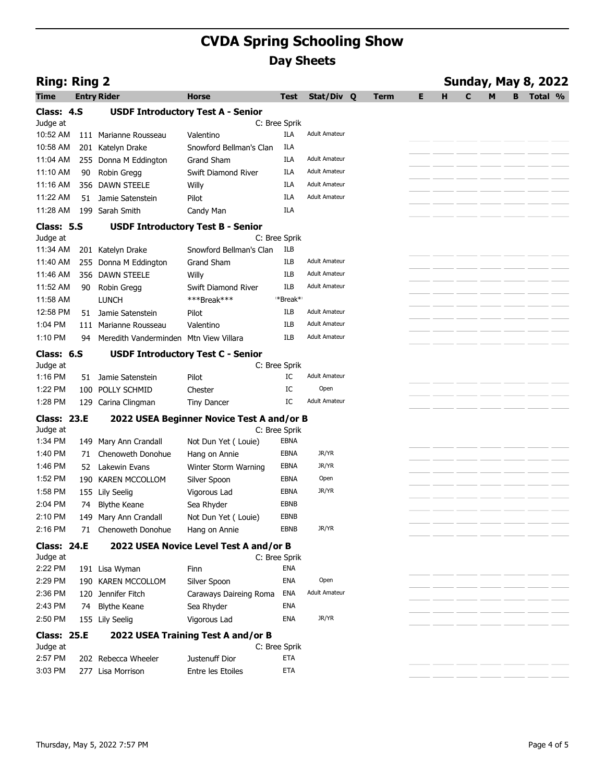|                        |    |                                                       | <b>CVDA Spring Schooling Show</b>         |                      |                      |             |    |                            |                  |
|------------------------|----|-------------------------------------------------------|-------------------------------------------|----------------------|----------------------|-------------|----|----------------------------|------------------|
|                        |    |                                                       |                                           | <b>Day Sheets</b>    |                      |             |    |                            |                  |
| <b>Ring: Ring 2</b>    |    |                                                       |                                           |                      |                      |             |    | <b>Sunday, May 8, 2022</b> |                  |
| Time                   |    | <b>Entry Rider</b>                                    | <b>Horse</b>                              | Test                 | Stat/Div Q           | <b>Term</b> | Е. |                            | <b>B</b> Total % |
| Class: 4.S             |    |                                                       | <b>USDF Introductory Test A - Senior</b>  |                      |                      |             |    |                            |                  |
| Judge at               |    |                                                       |                                           | C: Bree Sprik        |                      |             |    |                            |                  |
| 10:52 AM               |    | 111 Marianne Rousseau                                 | Valentino<br>Snowford Bellman's Clan      | ILA                  | <b>Adult Amateur</b> |             |    |                            |                  |
| 10:58 AM<br>11:04 AM   |    | 201 Katelyn Drake<br>255 Donna M Eddington            | Grand Sham                                | ILA<br>ILA           | <b>Adult Amateur</b> |             |    |                            |                  |
| 11:10 AM               | 90 | Robin Gregg                                           | Swift Diamond River                       | ILA                  | <b>Adult Amateur</b> |             |    |                            |                  |
| 11:16 AM               |    | 356 DAWN STEELE                                       | Willy                                     | ILA                  | <b>Adult Amateur</b> |             |    |                            |                  |
| 11:22 AM               |    | 51 Jamie Satenstein                                   | Pilot                                     | ILA                  | <b>Adult Amateur</b> |             |    |                            |                  |
| 11:28 AM               |    | 199 Sarah Smith                                       | Candy Man                                 | ILA                  |                      |             |    |                            |                  |
| Class: 5.S             |    |                                                       | <b>USDF Introductory Test B - Senior</b>  |                      |                      |             |    |                            |                  |
| Judge at               |    |                                                       |                                           | C: Bree Sprik        |                      |             |    |                            |                  |
| 11:34 AM               |    | 201 Katelyn Drake                                     | Snowford Bellman's Clan                   | ILB                  |                      |             |    |                            |                  |
| 11:40 AM               |    | 255 Donna M Eddington                                 | Grand Sham                                | ILB                  | Adult Amateur        |             |    |                            |                  |
| 11:46 AM               |    | 356 DAWN STEELE                                       | Willy                                     | ILB                  | <b>Adult Amateur</b> |             |    |                            |                  |
| 11:52 AM               |    | 90 Robin Gregg                                        | Swift Diamond River                       | ILB                  | <b>Adult Amateur</b> |             |    |                            |                  |
| 11:58 AM               |    | <b>LUNCH</b>                                          | ***Break***                               | *Break*<br>ILB       | <b>Adult Amateur</b> |             |    |                            |                  |
| 1:04 PM                |    | 12:58 PM 51 Jamie Satenstein<br>111 Marianne Rousseau | Pilot<br>Valentino                        | ILB                  | <b>Adult Amateur</b> |             |    |                            |                  |
| 1:10 PM                |    | 94 Meredith Vanderminden Mtn View Villara             |                                           | ILB                  | <b>Adult Amateur</b> |             |    |                            |                  |
|                        |    |                                                       |                                           |                      |                      |             |    |                            |                  |
| Class: 6.S<br>Judge at |    |                                                       | <b>USDF Introductory Test C - Senior</b>  | C: Bree Sprik        |                      |             |    |                            |                  |
| 1:16 PM                |    | 51 Jamie Satenstein                                   | Pilot                                     | IC                   | <b>Adult Amateur</b> |             |    |                            |                  |
| 1:22 PM                |    | 100 POLLY SCHMID                                      | Chester                                   | IC                   | Open                 |             |    |                            |                  |
| 1:28 PM                |    | 129 Carina Clingman                                   | Tiny Dancer                               | IC                   | <b>Adult Amateur</b> |             |    |                            |                  |
| <b>Class: 23.E</b>     |    |                                                       | 2022 USEA Beginner Novice Test A and/or B |                      |                      |             |    |                            |                  |
| Judge at               |    |                                                       |                                           | C: Bree Sprik        |                      |             |    |                            |                  |
| 1:34 PM                |    | 149 Mary Ann Crandall                                 | Not Dun Yet (Louie)                       | EBNA                 |                      |             |    |                            |                  |
| 1:40 PM                |    | 71 Chenoweth Donohue                                  | Hang on Annie                             | <b>EBNA</b>          | JR/YR                |             |    |                            |                  |
| 1:46 PM                |    | 52 Lakewin Evans                                      | Winter Storm Warning                      | EBNA                 | JR/YR                |             |    |                            |                  |
| 1:52 PM                |    | 190 KAREN MCCOLLOM                                    | Silver Spoon                              | <b>EBNA</b>          | Open                 |             |    |                            |                  |
| 1:58 PM<br>2:04 PM     |    | 155 Lily Seelig<br>74 Blythe Keane                    | Vigorous Lad                              | EBNA<br>EBNB         | JR/YR                |             |    |                            |                  |
| 2:10 PM                |    | 149 Mary Ann Crandall                                 | Sea Rhyder<br>Not Dun Yet (Louie)         | EBNB                 |                      |             |    |                            |                  |
| 2:16 PM                |    | 71 Chenoweth Donohue                                  | Hang on Annie                             | EBNB                 | JR/YR                |             |    |                            |                  |
| <b>Class: 24.E</b>     |    |                                                       | 2022 USEA Novice Level Test A and/or B    |                      |                      |             |    |                            |                  |
| Judge at               |    |                                                       |                                           | C: Bree Sprik        |                      |             |    |                            |                  |
| 2:22 PM                |    | 191 Lisa Wyman                                        | Finn                                      | ENA                  |                      |             |    |                            |                  |
| 2:29 PM                |    | 190 KAREN MCCOLLOM                                    | Silver Spoon                              | ENA                  | Open                 |             |    |                            |                  |
| 2:36 PM                |    | 120 Jennifer Fitch                                    | Caraways Daireing Roma                    | ENA                  | <b>Adult Amateur</b> |             |    |                            |                  |
| 2:43 PM                |    | 74 Blythe Keane                                       | Sea Rhyder                                | ENA                  |                      |             |    |                            |                  |
| 2:50 PM                |    | 155 Lily Seelig                                       | Vigorous Lad                              | ENA                  | JR/YR                |             |    |                            |                  |
| <b>Class: 25.E</b>     |    |                                                       | 2022 USEA Training Test A and/or B        |                      |                      |             |    |                            |                  |
| Judge at               |    |                                                       | Justenuff Dior                            | C: Bree Sprik<br>ETA |                      |             |    |                            |                  |
| 2:57 PM                |    | 202 Rebecca Wheeler<br>277 Lisa Morrison              | Entre les Etoiles                         | ETA                  |                      |             |    |                            |                  |